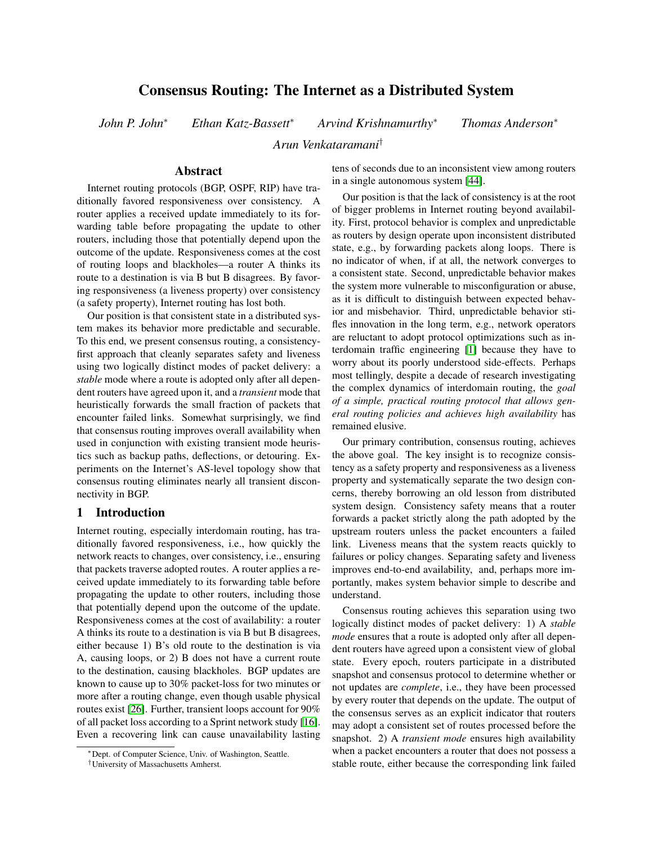# Consensus Routing: The Internet as a Distributed System

*John P. John*<sup>∗</sup> *Ethan Katz-Bassett*<sup>∗</sup> *Arvind Krishnamurthy*<sup>∗</sup> *Thomas Anderson*<sup>∗</sup>

*Arun Venkataramani*†

### Abstract

Internet routing protocols (BGP, OSPF, RIP) have traditionally favored responsiveness over consistency. A router applies a received update immediately to its forwarding table before propagating the update to other routers, including those that potentially depend upon the outcome of the update. Responsiveness comes at the cost of routing loops and blackholes—a router A thinks its route to a destination is via B but B disagrees. By favoring responsiveness (a liveness property) over consistency (a safety property), Internet routing has lost both.

Our position is that consistent state in a distributed system makes its behavior more predictable and securable. To this end, we present consensus routing, a consistencyfirst approach that cleanly separates safety and liveness using two logically distinct modes of packet delivery: a *stable* mode where a route is adopted only after all dependent routers have agreed upon it, and a *transient* mode that heuristically forwards the small fraction of packets that encounter failed links. Somewhat surprisingly, we find that consensus routing improves overall availability when used in conjunction with existing transient mode heuristics such as backup paths, deflections, or detouring. Experiments on the Internet's AS-level topology show that consensus routing eliminates nearly all transient disconnectivity in BGP.

# 1 Introduction

Internet routing, especially interdomain routing, has traditionally favored responsiveness, i.e., how quickly the network reacts to changes, over consistency, i.e., ensuring that packets traverse adopted routes. A router applies a received update immediately to its forwarding table before propagating the update to other routers, including those that potentially depend upon the outcome of the update. Responsiveness comes at the cost of availability: a router A thinks its route to a destination is via B but B disagrees, either because 1) B's old route to the destination is via A, causing loops, or 2) B does not have a current route to the destination, causing blackholes. BGP updates are known to cause up to 30% packet-loss for two minutes or more after a routing change, even though usable physical routes exist [\[26\]](#page-13-0). Further, transient loops account for 90% of all packet loss according to a Sprint network study [\[16\]](#page-13-1). Even a recovering link can cause unavailability lasting

tens of seconds due to an inconsistent view among routers in a single autonomous system [\[44\]](#page-13-2).

Our position is that the lack of consistency is at the root of bigger problems in Internet routing beyond availability. First, protocol behavior is complex and unpredictable as routers by design operate upon inconsistent distributed state, e.g., by forwarding packets along loops. There is no indicator of when, if at all, the network converges to a consistent state. Second, unpredictable behavior makes the system more vulnerable to misconfiguration or abuse, as it is difficult to distinguish between expected behavior and misbehavior. Third, unpredictable behavior stifles innovation in the long term, e.g., network operators are reluctant to adopt protocol optimizations such as interdomain traffic engineering [\[1\]](#page-13-3) because they have to worry about its poorly understood side-effects. Perhaps most tellingly, despite a decade of research investigating the complex dynamics of interdomain routing, the *goal of a simple, practical routing protocol that allows general routing policies and achieves high availability* has remained elusive.

Our primary contribution, consensus routing, achieves the above goal. The key insight is to recognize consistency as a safety property and responsiveness as a liveness property and systematically separate the two design concerns, thereby borrowing an old lesson from distributed system design. Consistency safety means that a router forwards a packet strictly along the path adopted by the upstream routers unless the packet encounters a failed link. Liveness means that the system reacts quickly to failures or policy changes. Separating safety and liveness improves end-to-end availability, and, perhaps more importantly, makes system behavior simple to describe and understand.

Consensus routing achieves this separation using two logically distinct modes of packet delivery: 1) A *stable mode* ensures that a route is adopted only after all dependent routers have agreed upon a consistent view of global state. Every epoch, routers participate in a distributed snapshot and consensus protocol to determine whether or not updates are *complete*, i.e., they have been processed by every router that depends on the update. The output of the consensus serves as an explicit indicator that routers may adopt a consistent set of routes processed before the snapshot. 2) A *transient mode* ensures high availability when a packet encounters a router that does not possess a stable route, either because the corresponding link failed

<sup>∗</sup>Dept. of Computer Science, Univ. of Washington, Seattle.

<sup>†</sup>University of Massachusetts Amherst.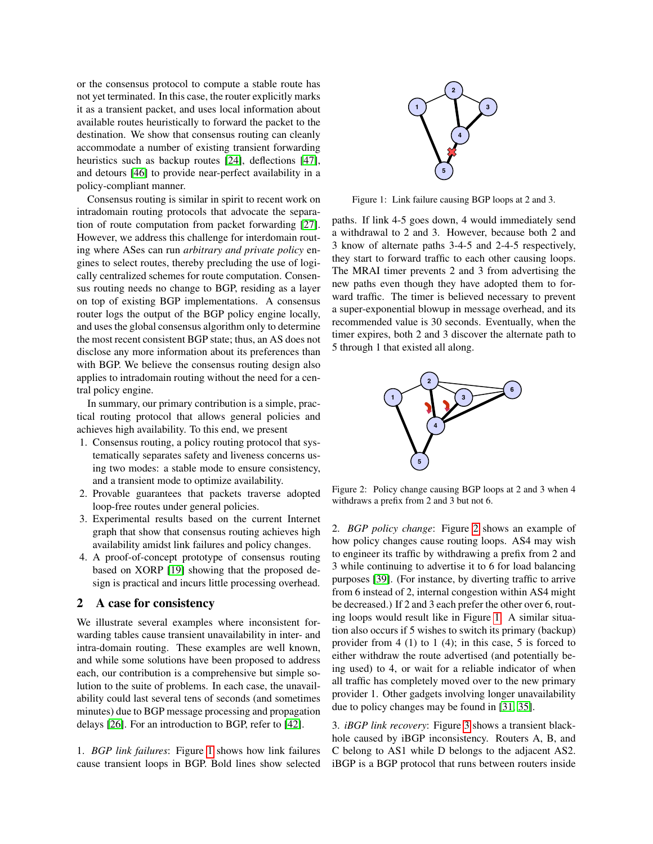or the consensus protocol to compute a stable route has not yet terminated. In this case, the router explicitly marks it as a transient packet, and uses local information about available routes heuristically to forward the packet to the destination. We show that consensus routing can cleanly accommodate a number of existing transient forwarding heuristics such as backup routes [\[24\]](#page-13-4), deflections [\[47\]](#page-13-5), and detours [\[46\]](#page-13-6) to provide near-perfect availability in a policy-compliant manner.

Consensus routing is similar in spirit to recent work on intradomain routing protocols that advocate the separation of route computation from packet forwarding [\[27\]](#page-13-7). However, we address this challenge for interdomain routing where ASes can run *arbitrary and private policy* engines to select routes, thereby precluding the use of logically centralized schemes for route computation. Consensus routing needs no change to BGP, residing as a layer on top of existing BGP implementations. A consensus router logs the output of the BGP policy engine locally, and uses the global consensus algorithm only to determine the most recent consistent BGP state; thus, an AS does not disclose any more information about its preferences than with BGP. We believe the consensus routing design also applies to intradomain routing without the need for a central policy engine.

In summary, our primary contribution is a simple, practical routing protocol that allows general policies and achieves high availability. To this end, we present

- 1. Consensus routing, a policy routing protocol that systematically separates safety and liveness concerns using two modes: a stable mode to ensure consistency, and a transient mode to optimize availability.
- 2. Provable guarantees that packets traverse adopted loop-free routes under general policies.
- 3. Experimental results based on the current Internet graph that show that consensus routing achieves high availability amidst link failures and policy changes.
- 4. A proof-of-concept prototype of consensus routing based on XORP [\[19\]](#page-13-8) showing that the proposed design is practical and incurs little processing overhead.

# 2 A case for consistency

We illustrate several examples where inconsistent forwarding tables cause transient unavailability in inter- and intra-domain routing. These examples are well known, and while some solutions have been proposed to address each, our contribution is a comprehensive but simple solution to the suite of problems. In each case, the unavailability could last several tens of seconds (and sometimes minutes) due to BGP message processing and propagation delays [\[26\]](#page-13-0). For an introduction to BGP, refer to [\[42\]](#page-13-9).

1. *BGP link failures*: Figure [1](#page-1-0) shows how link failures cause transient loops in BGP. Bold lines show selected



<span id="page-1-0"></span>Figure 1: Link failure causing BGP loops at 2 and 3.

paths. If link 4-5 goes down, 4 would immediately send a withdrawal to 2 and 3. However, because both 2 and 3 know of alternate paths 3-4-5 and 2-4-5 respectively, they start to forward traffic to each other causing loops. The MRAI timer prevents 2 and 3 from advertising the new paths even though they have adopted them to forward traffic. The timer is believed necessary to prevent a super-exponential blowup in message overhead, and its recommended value is 30 seconds. Eventually, when the timer expires, both 2 and 3 discover the alternate path to 5 through 1 that existed all along.



<span id="page-1-1"></span>Figure 2: Policy change causing BGP loops at 2 and 3 when 4 withdraws a prefix from 2 and 3 but not 6.

2. *BGP policy change*: Figure [2](#page-1-1) shows an example of how policy changes cause routing loops. AS4 may wish to engineer its traffic by withdrawing a prefix from 2 and 3 while continuing to advertise it to 6 for load balancing purposes [\[39\]](#page-13-10). (For instance, by diverting traffic to arrive from 6 instead of 2, internal congestion within AS4 might be decreased.) If 2 and 3 each prefer the other over 6, routing loops would result like in Figure [1.](#page-1-0) A similar situation also occurs if 5 wishes to switch its primary (backup) provider from  $4(1)$  to  $1(4)$ ; in this case, 5 is forced to either withdraw the route advertised (and potentially being used) to 4, or wait for a reliable indicator of when all traffic has completely moved over to the new primary provider 1. Other gadgets involving longer unavailability due to policy changes may be found in [\[31,](#page-13-11) [35\]](#page-13-12).

3. *iBGP link recovery*: Figure [3](#page-2-0) shows a transient blackhole caused by iBGP inconsistency. Routers A, B, and C belong to AS1 while D belongs to the adjacent AS2. iBGP is a BGP protocol that runs between routers inside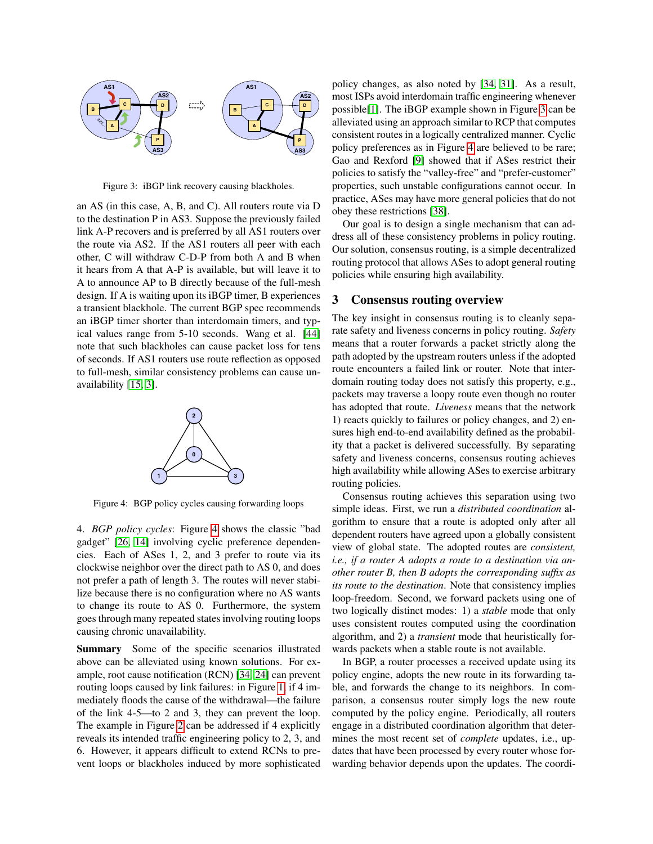

<span id="page-2-0"></span>Figure 3: iBGP link recovery causing blackholes.

an AS (in this case, A, B, and C). All routers route via D to the destination P in AS3. Suppose the previously failed link A-P recovers and is preferred by all AS1 routers over the route via AS2. If the AS1 routers all peer with each other, C will withdraw C-D-P from both A and B when it hears from A that A-P is available, but will leave it to A to announce AP to B directly because of the full-mesh design. If A is waiting upon its iBGP timer, B experiences a transient blackhole. The current BGP spec recommends an iBGP timer shorter than interdomain timers, and typical values range from 5-10 seconds. Wang et al. [\[44\]](#page-13-2) note that such blackholes can cause packet loss for tens of seconds. If AS1 routers use route reflection as opposed to full-mesh, similar consistency problems can cause unavailability [\[15,](#page-13-13) [3\]](#page-13-14).



<span id="page-2-1"></span>Figure 4: BGP policy cycles causing forwarding loops

4. *BGP policy cycles*: Figure [4](#page-2-1) shows the classic "bad gadget" [\[26,](#page-13-0) [14\]](#page-13-15) involving cyclic preference dependencies. Each of ASes 1, 2, and 3 prefer to route via its clockwise neighbor over the direct path to AS 0, and does not prefer a path of length 3. The routes will never stabilize because there is no configuration where no AS wants to change its route to AS 0. Furthermore, the system goes through many repeated states involving routing loops causing chronic unavailability.

Summary Some of the specific scenarios illustrated above can be alleviated using known solutions. For example, root cause notification (RCN) [\[34,](#page-13-16) [24\]](#page-13-4) can prevent routing loops caused by link failures: in Figure [1,](#page-1-0) if 4 immediately floods the cause of the withdrawal—the failure of the link 4-5—to 2 and 3, they can prevent the loop. The example in Figure [2](#page-1-1) can be addressed if 4 explicitly reveals its intended traffic engineering policy to 2, 3, and 6. However, it appears difficult to extend RCNs to prevent loops or blackholes induced by more sophisticated

policy changes, as also noted by [\[34,](#page-13-16) [31\]](#page-13-11). As a result, most ISPs avoid interdomain traffic engineering whenever possible[\[1\]](#page-13-3). The iBGP example shown in Figure [3](#page-2-0) can be alleviated using an approach similar to RCP that computes consistent routes in a logically centralized manner. Cyclic policy preferences as in Figure [4](#page-2-1) are believed to be rare; Gao and Rexford [\[9\]](#page-13-17) showed that if ASes restrict their policies to satisfy the "valley-free" and "prefer-customer" properties, such unstable configurations cannot occur. In practice, ASes may have more general policies that do not obey these restrictions [\[38\]](#page-13-18).

Our goal is to design a single mechanism that can address all of these consistency problems in policy routing. Our solution, consensus routing, is a simple decentralized routing protocol that allows ASes to adopt general routing policies while ensuring high availability.

### 3 Consensus routing overview

The key insight in consensus routing is to cleanly separate safety and liveness concerns in policy routing. *Safety* means that a router forwards a packet strictly along the path adopted by the upstream routers unless if the adopted route encounters a failed link or router. Note that interdomain routing today does not satisfy this property, e.g., packets may traverse a loopy route even though no router has adopted that route. *Liveness* means that the network 1) reacts quickly to failures or policy changes, and 2) ensures high end-to-end availability defined as the probability that a packet is delivered successfully. By separating safety and liveness concerns, consensus routing achieves high availability while allowing ASes to exercise arbitrary routing policies.

Consensus routing achieves this separation using two simple ideas. First, we run a *distributed coordination* algorithm to ensure that a route is adopted only after all dependent routers have agreed upon a globally consistent view of global state. The adopted routes are *consistent, i.e., if a router A adopts a route to a destination via another router B, then B adopts the corresponding suffix as its route to the destination*. Note that consistency implies loop-freedom. Second, we forward packets using one of two logically distinct modes: 1) a *stable* mode that only uses consistent routes computed using the coordination algorithm, and 2) a *transient* mode that heuristically forwards packets when a stable route is not available.

In BGP, a router processes a received update using its policy engine, adopts the new route in its forwarding table, and forwards the change to its neighbors. In comparison, a consensus router simply logs the new route computed by the policy engine. Periodically, all routers engage in a distributed coordination algorithm that determines the most recent set of *complete* updates, i.e., updates that have been processed by every router whose forwarding behavior depends upon the updates. The coordi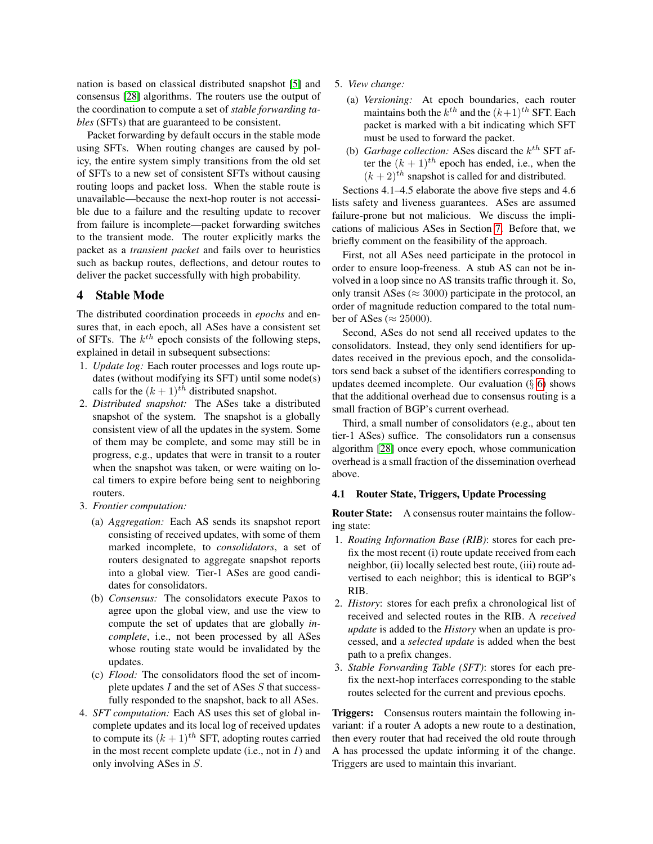nation is based on classical distributed snapshot [\[5\]](#page-13-19) and consensus [\[28\]](#page-13-20) algorithms. The routers use the output of the coordination to compute a set of *stable forwarding tables* (SFTs) that are guaranteed to be consistent.

Packet forwarding by default occurs in the stable mode using SFTs. When routing changes are caused by policy, the entire system simply transitions from the old set of SFTs to a new set of consistent SFTs without causing routing loops and packet loss. When the stable route is unavailable—because the next-hop router is not accessible due to a failure and the resulting update to recover from failure is incomplete—packet forwarding switches to the transient mode. The router explicitly marks the packet as a *transient packet* and fails over to heuristics such as backup routes, deflections, and detour routes to deliver the packet successfully with high probability.

# 4 Stable Mode

The distributed coordination proceeds in *epochs* and ensures that, in each epoch, all ASes have a consistent set of SFTs. The  $k^{th}$  epoch consists of the following steps, explained in detail in subsequent subsections:

- 1. *Update log:* Each router processes and logs route updates (without modifying its SFT) until some node(s) calls for the  $(k + 1)^{th}$  distributed snapshot.
- 2. *Distributed snapshot:* The ASes take a distributed snapshot of the system. The snapshot is a globally consistent view of all the updates in the system. Some of them may be complete, and some may still be in progress, e.g., updates that were in transit to a router when the snapshot was taken, or were waiting on local timers to expire before being sent to neighboring routers.
- 3. *Frontier computation:*
	- (a) *Aggregation:* Each AS sends its snapshot report consisting of received updates, with some of them marked incomplete, to *consolidators*, a set of routers designated to aggregate snapshot reports into a global view. Tier-1 ASes are good candidates for consolidators.
	- (b) *Consensus:* The consolidators execute Paxos to agree upon the global view, and use the view to compute the set of updates that are globally *incomplete*, i.e., not been processed by all ASes whose routing state would be invalidated by the updates.
	- (c) *Flood:* The consolidators flood the set of incomplete updates  $I$  and the set of ASes  $S$  that successfully responded to the snapshot, back to all ASes.
- 4. *SFT computation:* Each AS uses this set of global incomplete updates and its local log of received updates to compute its  $(k + 1)^{th}$  SFT, adopting routes carried in the most recent complete update (i.e., not in  $I$ ) and only involving ASes in S.
- 5. *View change:*
	- (a) *Versioning:* At epoch boundaries, each router maintains both the  $k^{th}$  and the  $(k+1)^{th}$  SFT. Each packet is marked with a bit indicating which SFT must be used to forward the packet.
	- (b) *Garbage collection:* ASes discard the  $k^{th}$  SFT after the  $(k + 1)^{th}$  epoch has ended, i.e., when the  $(k+2)^{th}$  snapshot is called for and distributed.

Sections 4.1–4.5 elaborate the above five steps and 4.6 lists safety and liveness guarantees. ASes are assumed failure-prone but not malicious. We discuss the implications of malicious ASes in Section [7.](#page-11-0) Before that, we briefly comment on the feasibility of the approach.

First, not all ASes need participate in the protocol in order to ensure loop-freeness. A stub AS can not be involved in a loop since no AS transits traffic through it. So, only transit ASes ( $\approx 3000$ ) participate in the protocol, an order of magnitude reduction compared to the total number of ASes ( $\approx 25000$ ).

Second, ASes do not send all received updates to the consolidators. Instead, they only send identifiers for updates received in the previous epoch, and the consolidators send back a subset of the identifiers corresponding to updates deemed incomplete. Our evaluation  $(\S 6)$  $(\S 6)$  shows that the additional overhead due to consensus routing is a small fraction of BGP's current overhead.

Third, a small number of consolidators (e.g., about ten tier-1 ASes) suffice. The consolidators run a consensus algorithm [\[28\]](#page-13-20) once every epoch, whose communication overhead is a small fraction of the dissemination overhead above.

#### 4.1 Router State, Triggers, Update Processing

Router State: A consensus router maintains the following state:

- 1. *Routing Information Base (RIB)*: stores for each prefix the most recent (i) route update received from each neighbor, (ii) locally selected best route, (iii) route advertised to each neighbor; this is identical to BGP's RIB.
- 2. *History*: stores for each prefix a chronological list of received and selected routes in the RIB. A *received update* is added to the *History* when an update is processed, and a *selected update* is added when the best path to a prefix changes.
- 3. *Stable Forwarding Table (SFT)*: stores for each prefix the next-hop interfaces corresponding to the stable routes selected for the current and previous epochs.

Triggers: Consensus routers maintain the following invariant: if a router A adopts a new route to a destination, then every router that had received the old route through A has processed the update informing it of the change. Triggers are used to maintain this invariant.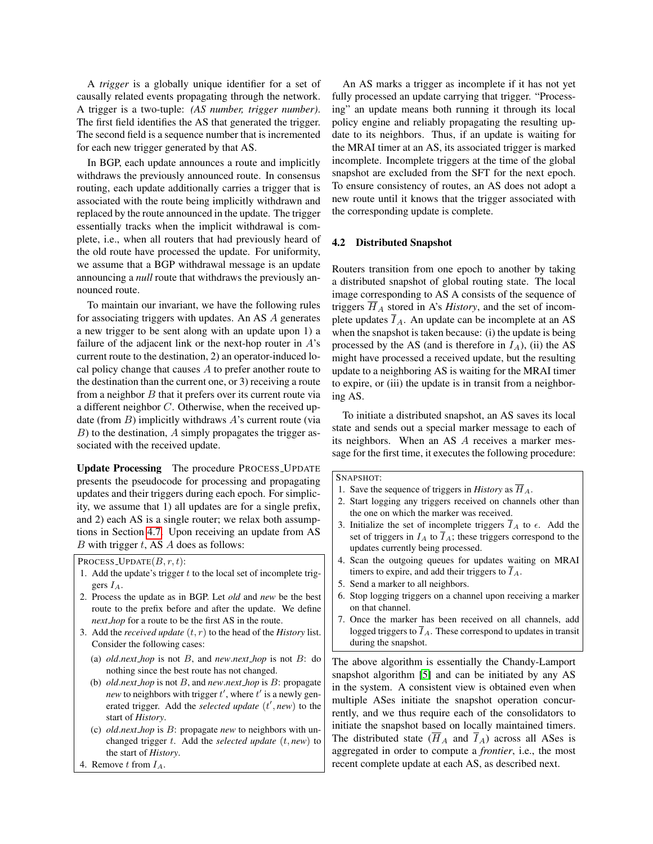A *trigger* is a globally unique identifier for a set of causally related events propagating through the network. A trigger is a two-tuple: *(AS number, trigger number)*. The first field identifies the AS that generated the trigger. The second field is a sequence number that is incremented for each new trigger generated by that AS.

In BGP, each update announces a route and implicitly withdraws the previously announced route. In consensus routing, each update additionally carries a trigger that is associated with the route being implicitly withdrawn and replaced by the route announced in the update. The trigger essentially tracks when the implicit withdrawal is complete, i.e., when all routers that had previously heard of the old route have processed the update. For uniformity, we assume that a BGP withdrawal message is an update announcing a *null* route that withdraws the previously announced route.

To maintain our invariant, we have the following rules for associating triggers with updates. An AS A generates a new trigger to be sent along with an update upon 1) a failure of the adjacent link or the next-hop router in  $A$ 's current route to the destination, 2) an operator-induced local policy change that causes  $A$  to prefer another route to the destination than the current one, or 3) receiving a route from a neighbor  $B$  that it prefers over its current route via a different neighbor C. Otherwise, when the received update (from  $B$ ) implicitly withdraws  $A$ 's current route (via  $B$ ) to the destination,  $A$  simply propagates the trigger associated with the received update.

Update Processing The procedure PROCESS UPDATE presents the pseudocode for processing and propagating updates and their triggers during each epoch. For simplicity, we assume that 1) all updates are for a single prefix, and 2) each AS is a single router; we relax both assumptions in Section [4.7.](#page-6-0) Upon receiving an update from AS  $B$  with trigger  $t$ , AS  $A$  does as follows:

PROCESS\_UPDATE $(B, r, t)$ :

- 1. Add the update's trigger  $t$  to the local set of incomplete triggers  $I_A$ .
- 2. Process the update as in BGP. Let *old* and *new* be the best route to the prefix before and after the update. We define *next hop* for a route to be the first AS in the route.
- 3. Add the *received update* (t, r) to the head of the *History* list. Consider the following cases:
	- (a) *old*.*next hop* is not B, and *new*.*next hop* is not B: do nothing since the best route has not changed.
	- (b) *old*.*next hop* is not B, and *new*.*next hop* is B: propagate *new* to neighbors with trigger  $t'$ , where  $t'$  is a newly generated trigger. Add the *selected update* (t', new) to the start of *History*.
	- (c) *old*.*next hop* is B: propagate *new* to neighbors with unchanged trigger t. Add the *selected update* (t, *new*) to the start of *History*.
- 4. Remove  $t$  from  $I_A$ .

An AS marks a trigger as incomplete if it has not yet fully processed an update carrying that trigger. "Processing" an update means both running it through its local policy engine and reliably propagating the resulting update to its neighbors. Thus, if an update is waiting for the MRAI timer at an AS, its associated trigger is marked incomplete. Incomplete triggers at the time of the global snapshot are excluded from the SFT for the next epoch. To ensure consistency of routes, an AS does not adopt a new route until it knows that the trigger associated with the corresponding update is complete.

#### 4.2 Distributed Snapshot

Routers transition from one epoch to another by taking a distributed snapshot of global routing state. The local image corresponding to AS A consists of the sequence of triggers  $H_A$  stored in A's *History*, and the set of incomplete updates  $I_A$ . An update can be incomplete at an AS when the snapshot is taken because: (i) the update is being processed by the AS (and is therefore in  $I_A$ ), (ii) the AS might have processed a received update, but the resulting update to a neighboring AS is waiting for the MRAI timer to expire, or (iii) the update is in transit from a neighboring AS.

To initiate a distributed snapshot, an AS saves its local state and sends out a special marker message to each of its neighbors. When an AS A receives a marker message for the first time, it executes the following procedure:

#### SNAPSHOT:

- 1. Save the sequence of triggers in *History* as  $\overline{H}_A$ .
- 2. Start logging any triggers received on channels other than the one on which the marker was received.
- 3. Initialize the set of incomplete triggers  $\overline{I}_A$  to  $\epsilon$ . Add the set of triggers in  $I_A$  to  $\overline{I}_A$ ; these triggers correspond to the updates currently being processed.
- 4. Scan the outgoing queues for updates waiting on MRAI timers to expire, and add their triggers to  $\overline{I}_A$ .
- 5. Send a marker to all neighbors.
- 6. Stop logging triggers on a channel upon receiving a marker on that channel.
- 7. Once the marker has been received on all channels, add logged triggers to  $\overline{I}_A$ . These correspond to updates in transit during the snapshot.

The above algorithm is essentially the Chandy-Lamport snapshot algorithm [\[5\]](#page-13-19) and can be initiated by any AS in the system. A consistent view is obtained even when multiple ASes initiate the snapshot operation concurrently, and we thus require each of the consolidators to initiate the snapshot based on locally maintained timers. The distributed state  $(\overline{H}_A$  and  $\overline{I}_A$ ) across all ASes is aggregated in order to compute a *frontier*, i.e., the most recent complete update at each AS, as described next.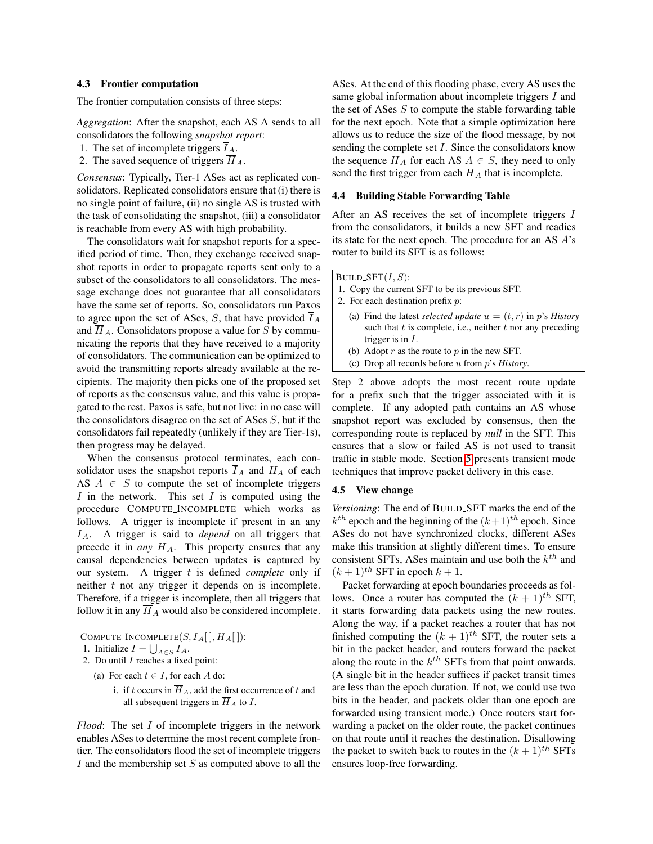#### 4.3 Frontier computation

The frontier computation consists of three steps:

*Aggregation*: After the snapshot, each AS A sends to all consolidators the following *snapshot report*:

- 1. The set of incomplete triggers  $\overline{I}_A$ .
- 2. The saved sequence of triggers  $\overline{H}_A$ .

*Consensus*: Typically, Tier-1 ASes act as replicated consolidators. Replicated consolidators ensure that (i) there is no single point of failure, (ii) no single AS is trusted with the task of consolidating the snapshot, (iii) a consolidator is reachable from every AS with high probability.

The consolidators wait for snapshot reports for a specified period of time. Then, they exchange received snapshot reports in order to propagate reports sent only to a subset of the consolidators to all consolidators. The message exchange does not guarantee that all consolidators have the same set of reports. So, consolidators run Paxos to agree upon the set of ASes, S, that have provided  $\overline{I}_A$ and  $\overline{H}_A$ . Consolidators propose a value for S by communicating the reports that they have received to a majority of consolidators. The communication can be optimized to avoid the transmitting reports already available at the recipients. The majority then picks one of the proposed set of reports as the consensus value, and this value is propagated to the rest. Paxos is safe, but not live: in no case will the consolidators disagree on the set of ASes S, but if the consolidators fail repeatedly (unlikely if they are Tier-1s), then progress may be delayed.

When the consensus protocol terminates, each consolidator uses the snapshot reports  $\overline{I}_A$  and  $H_A$  of each AS  $A \in S$  to compute the set of incomplete triggers I in the network. This set I is computed using the procedure COMPUTE INCOMPLETE which works as follows. A trigger is incomplete if present in an any  $\overline{I}_A$ . A trigger is said to *depend* on all triggers that precede it in *any*  $\overline{H}_A$ . This property ensures that any causal dependencies between updates is captured by our system. A trigger t is defined *complete* only if neither  $t$  not any trigger it depends on is incomplete. Therefore, if a trigger is incomplete, then all triggers that follow it in any  $\overline{H}_A$  would also be considered incomplete.

COMPUTE\_INCOMPLETE $(S,\overline{I}_A[$   $],\overline{H}_A[$   $])$ : 1. Initialize  $I = \bigcup_{A \in S} \overline{I}_A$ . 2. Do until  $I$  reaches a fixed point: (a) For each  $t \in I$ , for each A do: i. if t occurs in  $\overline{H}_A$ , add the first occurrence of t and all subsequent triggers in  $\overline{H}_A$  to I.

*Flood*: The set I of incomplete triggers in the network enables ASes to determine the most recent complete frontier. The consolidators flood the set of incomplete triggers I and the membership set  $S$  as computed above to all the

ASes. At the end of this flooding phase, every AS uses the same global information about incomplete triggers I and the set of ASes  $S$  to compute the stable forwarding table for the next epoch. Note that a simple optimization here allows us to reduce the size of the flood message, by not sending the complete set I. Since the consolidators know the sequence  $\overline{H}_A$  for each AS  $A \in S$ , they need to only send the first trigger from each  $\overline{H}_A$  that is incomplete.

#### 4.4 Building Stable Forwarding Table

After an AS receives the set of incomplete triggers I from the consolidators, it builds a new SFT and readies its state for the next epoch. The procedure for an AS A's router to build its SFT is as follows:

BUILD\_SFT $(I, S)$ :

- 1. Copy the current SFT to be its previous SFT.
- 2. For each destination prefix p:
	- (a) Find the latest *selected update*  $u = (t, r)$  in p's *History* such that  $t$  is complete, i.e., neither  $t$  nor any preceding trigger is in I.
	- (b) Adopt  $r$  as the route to  $p$  in the new SFT.
	- (c) Drop all records before u from p's *History*.

Step 2 above adopts the most recent route update for a prefix such that the trigger associated with it is complete. If any adopted path contains an AS whose snapshot report was excluded by consensus, then the corresponding route is replaced by *null* in the SFT. This ensures that a slow or failed AS is not used to transit traffic in stable mode. Section [5](#page-6-1) presents transient mode techniques that improve packet delivery in this case.

#### 4.5 View change

*Versioning*: The end of BUILD SFT marks the end of the  $k^{th}$  epoch and the beginning of the  $(k+1)^{th}$  epoch. Since ASes do not have synchronized clocks, different ASes make this transition at slightly different times. To ensure consistent SFTs, ASes maintain and use both the  $k^{th}$  and  $(k+1)$ <sup>th</sup> SFT in epoch  $k+1$ .

Packet forwarding at epoch boundaries proceeds as follows. Once a router has computed the  $(k + 1)^{th}$  SFT, it starts forwarding data packets using the new routes. Along the way, if a packet reaches a router that has not finished computing the  $(k + 1)^{th}$  SFT, the router sets a bit in the packet header, and routers forward the packet along the route in the  $k^{th}$  SFTs from that point onwards. (A single bit in the header suffices if packet transit times are less than the epoch duration. If not, we could use two bits in the header, and packets older than one epoch are forwarded using transient mode.) Once routers start forwarding a packet on the older route, the packet continues on that route until it reaches the destination. Disallowing the packet to switch back to routes in the  $(k + 1)$ <sup>th</sup> SFTs ensures loop-free forwarding.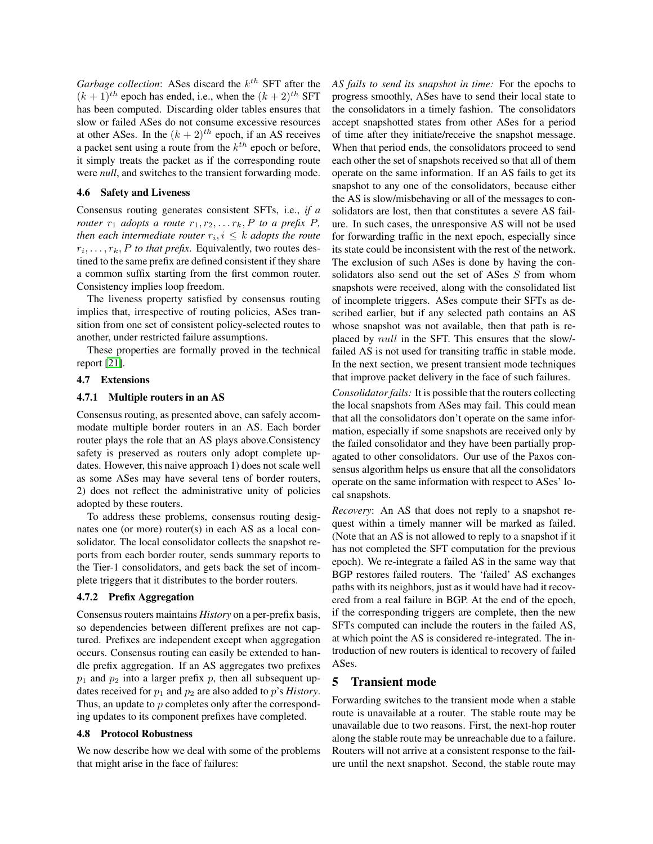Garbage collection: ASes discard the  $k^{th}$  SFT after the  $(k+1)$ <sup>th</sup> epoch has ended, i.e., when the  $(k+2)$ <sup>th</sup> SFT has been computed. Discarding older tables ensures that slow or failed ASes do not consume excessive resources at other ASes. In the  $(k + 2)^{th}$  epoch, if an AS receives a packet sent using a route from the  $k^{th}$  epoch or before, it simply treats the packet as if the corresponding route were *null*, and switches to the transient forwarding mode.

#### 4.6 Safety and Liveness

Consensus routing generates consistent SFTs, i.e., *if a router*  $r_1$  *adopts a route*  $r_1, r_2, \ldots r_k, P$  *to a prefix*  $P$ *, then each intermediate router*  $r_i, i \leq k$  *adopts the route*  $r_i, \ldots, r_k, P$  *to that prefix.* Equivalently, two routes destined to the same prefix are defined consistent if they share a common suffix starting from the first common router. Consistency implies loop freedom.

The liveness property satisfied by consensus routing implies that, irrespective of routing policies, ASes transition from one set of consistent policy-selected routes to another, under restricted failure assumptions.

These properties are formally proved in the technical report [\[21\]](#page-13-21).

### <span id="page-6-0"></span>4.7 Extensions

#### 4.7.1 Multiple routers in an AS

Consensus routing, as presented above, can safely accommodate multiple border routers in an AS. Each border router plays the role that an AS plays above.Consistency safety is preserved as routers only adopt complete updates. However, this naive approach 1) does not scale well as some ASes may have several tens of border routers, 2) does not reflect the administrative unity of policies adopted by these routers.

To address these problems, consensus routing designates one (or more) router(s) in each AS as a local consolidator. The local consolidator collects the snapshot reports from each border router, sends summary reports to the Tier-1 consolidators, and gets back the set of incomplete triggers that it distributes to the border routers.

### 4.7.2 Prefix Aggregation

Consensus routers maintains *History* on a per-prefix basis, so dependencies between different prefixes are not captured. Prefixes are independent except when aggregation occurs. Consensus routing can easily be extended to handle prefix aggregation. If an AS aggregates two prefixes  $p_1$  and  $p_2$  into a larger prefix p, then all subsequent updates received for  $p_1$  and  $p_2$  are also added to p's *History*. Thus, an update to  $p$  completes only after the corresponding updates to its component prefixes have completed.

#### 4.8 Protocol Robustness

We now describe how we deal with some of the problems that might arise in the face of failures:

*AS fails to send its snapshot in time:* For the epochs to progress smoothly, ASes have to send their local state to the consolidators in a timely fashion. The consolidators accept snapshotted states from other ASes for a period of time after they initiate/receive the snapshot message. When that period ends, the consolidators proceed to send each other the set of snapshots received so that all of them operate on the same information. If an AS fails to get its snapshot to any one of the consolidators, because either the AS is slow/misbehaving or all of the messages to consolidators are lost, then that constitutes a severe AS failure. In such cases, the unresponsive AS will not be used for forwarding traffic in the next epoch, especially since its state could be inconsistent with the rest of the network. The exclusion of such ASes is done by having the consolidators also send out the set of ASes S from whom snapshots were received, along with the consolidated list of incomplete triggers. ASes compute their SFTs as described earlier, but if any selected path contains an AS whose snapshot was not available, then that path is replaced by null in the SFT. This ensures that the slow/ failed AS is not used for transiting traffic in stable mode. In the next section, we present transient mode techniques that improve packet delivery in the face of such failures.

*Consolidator fails:* It is possible that the routers collecting the local snapshots from ASes may fail. This could mean that all the consolidators don't operate on the same information, especially if some snapshots are received only by the failed consolidator and they have been partially propagated to other consolidators. Our use of the Paxos consensus algorithm helps us ensure that all the consolidators operate on the same information with respect to ASes' local snapshots.

*Recovery*: An AS that does not reply to a snapshot request within a timely manner will be marked as failed. (Note that an AS is not allowed to reply to a snapshot if it has not completed the SFT computation for the previous epoch). We re-integrate a failed AS in the same way that BGP restores failed routers. The 'failed' AS exchanges paths with its neighbors, just as it would have had it recovered from a real failure in BGP. At the end of the epoch, if the corresponding triggers are complete, then the new SFTs computed can include the routers in the failed AS, at which point the AS is considered re-integrated. The introduction of new routers is identical to recovery of failed ASes.

# <span id="page-6-1"></span>5 Transient mode

Forwarding switches to the transient mode when a stable route is unavailable at a router. The stable route may be unavailable due to two reasons. First, the next-hop router along the stable route may be unreachable due to a failure. Routers will not arrive at a consistent response to the failure until the next snapshot. Second, the stable route may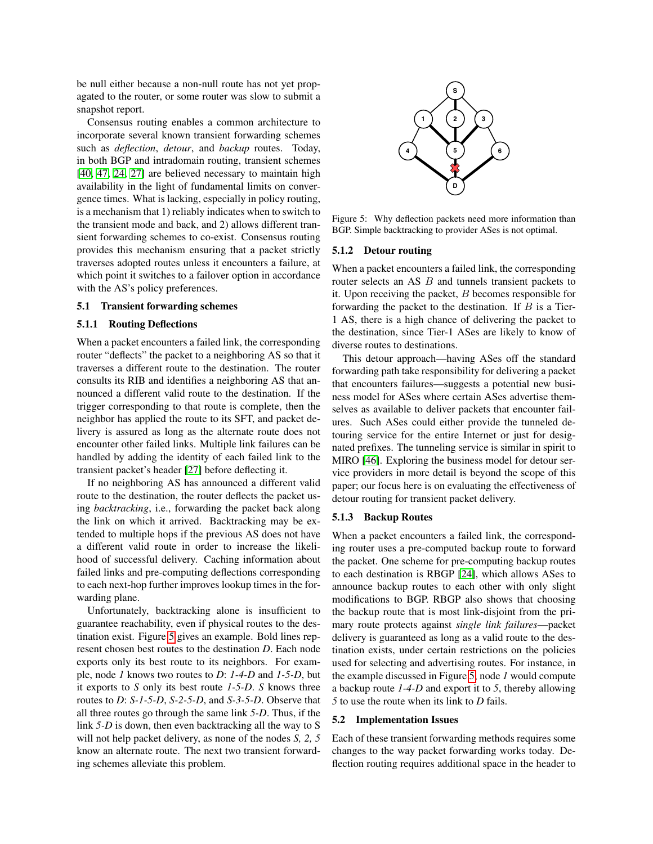be null either because a non-null route has not yet propagated to the router, or some router was slow to submit a snapshot report.

Consensus routing enables a common architecture to incorporate several known transient forwarding schemes such as *deflection*, *detour*, and *backup* routes. Today, in both BGP and intradomain routing, transient schemes [\[40,](#page-13-22) [47,](#page-13-5) [24,](#page-13-4) [27\]](#page-13-7) are believed necessary to maintain high availability in the light of fundamental limits on convergence times. What is lacking, especially in policy routing, is a mechanism that 1) reliably indicates when to switch to the transient mode and back, and 2) allows different transient forwarding schemes to co-exist. Consensus routing provides this mechanism ensuring that a packet strictly traverses adopted routes unless it encounters a failure, at which point it switches to a failover option in accordance with the AS's policy preferences.

#### 5.1 Transient forwarding schemes

#### 5.1.1 Routing Deflections

When a packet encounters a failed link, the corresponding router "deflects" the packet to a neighboring AS so that it traverses a different route to the destination. The router consults its RIB and identifies a neighboring AS that announced a different valid route to the destination. If the trigger corresponding to that route is complete, then the neighbor has applied the route to its SFT, and packet delivery is assured as long as the alternate route does not encounter other failed links. Multiple link failures can be handled by adding the identity of each failed link to the transient packet's header [\[27\]](#page-13-7) before deflecting it.

If no neighboring AS has announced a different valid route to the destination, the router deflects the packet using *backtracking*, i.e., forwarding the packet back along the link on which it arrived. Backtracking may be extended to multiple hops if the previous AS does not have a different valid route in order to increase the likelihood of successful delivery. Caching information about failed links and pre-computing deflections corresponding to each next-hop further improves lookup times in the forwarding plane.

Unfortunately, backtracking alone is insufficient to guarantee reachability, even if physical routes to the destination exist. Figure [5](#page-7-0) gives an example. Bold lines represent chosen best routes to the destination *D*. Each node exports only its best route to its neighbors. For example, node *1* knows two routes to *D*: *1-4-D* and *1-5-D*, but it exports to *S* only its best route *1-5-D*. *S* knows three routes to *D*: *S-1-5-D*, *S-2-5-D*, and *S-3-5-D*. Observe that all three routes go through the same link *5-D*. Thus, if the link *5-D* is down, then even backtracking all the way to S will not help packet delivery, as none of the nodes *S, 2, 5* know an alternate route. The next two transient forwarding schemes alleviate this problem.



<span id="page-7-0"></span>Figure 5: Why deflection packets need more information than BGP. Simple backtracking to provider ASes is not optimal.

#### 5.1.2 Detour routing

When a packet encounters a failed link, the corresponding router selects an AS B and tunnels transient packets to it. Upon receiving the packet,  $B$  becomes responsible for forwarding the packet to the destination. If  $B$  is a Tier-1 AS, there is a high chance of delivering the packet to the destination, since Tier-1 ASes are likely to know of diverse routes to destinations.

This detour approach—having ASes off the standard forwarding path take responsibility for delivering a packet that encounters failures—suggests a potential new business model for ASes where certain ASes advertise themselves as available to deliver packets that encounter failures. Such ASes could either provide the tunneled detouring service for the entire Internet or just for designated prefixes. The tunneling service is similar in spirit to MIRO [\[46\]](#page-13-6). Exploring the business model for detour service providers in more detail is beyond the scope of this paper; our focus here is on evaluating the effectiveness of detour routing for transient packet delivery.

#### 5.1.3 Backup Routes

When a packet encounters a failed link, the corresponding router uses a pre-computed backup route to forward the packet. One scheme for pre-computing backup routes to each destination is RBGP [\[24\]](#page-13-4), which allows ASes to announce backup routes to each other with only slight modifications to BGP. RBGP also shows that choosing the backup route that is most link-disjoint from the primary route protects against *single link failures*—packet delivery is guaranteed as long as a valid route to the destination exists, under certain restrictions on the policies used for selecting and advertising routes. For instance, in the example discussed in Figure [5,](#page-7-0) node *1* would compute a backup route *1-4-D* and export it to *5*, thereby allowing *5* to use the route when its link to *D* fails.

#### 5.2 Implementation Issues

Each of these transient forwarding methods requires some changes to the way packet forwarding works today. Deflection routing requires additional space in the header to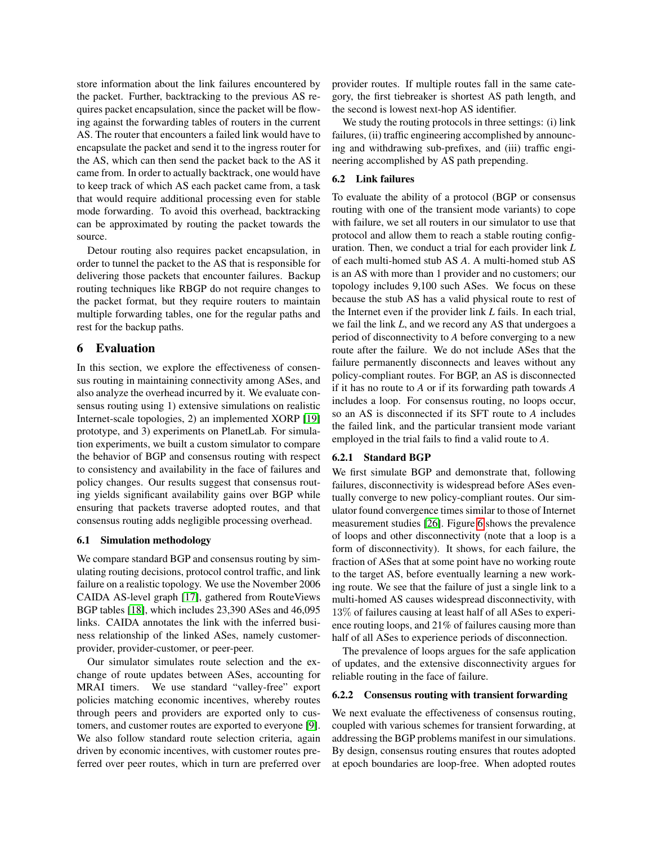store information about the link failures encountered by the packet. Further, backtracking to the previous AS requires packet encapsulation, since the packet will be flowing against the forwarding tables of routers in the current AS. The router that encounters a failed link would have to encapsulate the packet and send it to the ingress router for the AS, which can then send the packet back to the AS it came from. In order to actually backtrack, one would have to keep track of which AS each packet came from, a task that would require additional processing even for stable mode forwarding. To avoid this overhead, backtracking can be approximated by routing the packet towards the source.

Detour routing also requires packet encapsulation, in order to tunnel the packet to the AS that is responsible for delivering those packets that encounter failures. Backup routing techniques like RBGP do not require changes to the packet format, but they require routers to maintain multiple forwarding tables, one for the regular paths and rest for the backup paths.

# <span id="page-8-0"></span>6 Evaluation

In this section, we explore the effectiveness of consensus routing in maintaining connectivity among ASes, and also analyze the overhead incurred by it. We evaluate consensus routing using 1) extensive simulations on realistic Internet-scale topologies, 2) an implemented XORP [\[19\]](#page-13-8) prototype, and 3) experiments on PlanetLab. For simulation experiments, we built a custom simulator to compare the behavior of BGP and consensus routing with respect to consistency and availability in the face of failures and policy changes. Our results suggest that consensus routing yields significant availability gains over BGP while ensuring that packets traverse adopted routes, and that consensus routing adds negligible processing overhead.

### 6.1 Simulation methodology

We compare standard BGP and consensus routing by simulating routing decisions, protocol control traffic, and link failure on a realistic topology. We use the November 2006 CAIDA AS-level graph [\[17\]](#page-13-23), gathered from RouteViews BGP tables [\[18\]](#page-13-24), which includes 23,390 ASes and 46,095 links. CAIDA annotates the link with the inferred business relationship of the linked ASes, namely customerprovider, provider-customer, or peer-peer.

Our simulator simulates route selection and the exchange of route updates between ASes, accounting for MRAI timers. We use standard "valley-free" export policies matching economic incentives, whereby routes through peers and providers are exported only to customers, and customer routes are exported to everyone [\[9\]](#page-13-17). We also follow standard route selection criteria, again driven by economic incentives, with customer routes preferred over peer routes, which in turn are preferred over provider routes. If multiple routes fall in the same category, the first tiebreaker is shortest AS path length, and the second is lowest next-hop AS identifier.

We study the routing protocols in three settings: (i) link failures, (ii) traffic engineering accomplished by announcing and withdrawing sub-prefixes, and (iii) traffic engineering accomplished by AS path prepending.

#### 6.2 Link failures

To evaluate the ability of a protocol (BGP or consensus routing with one of the transient mode variants) to cope with failure, we set all routers in our simulator to use that protocol and allow them to reach a stable routing configuration. Then, we conduct a trial for each provider link *L* of each multi-homed stub AS *A*. A multi-homed stub AS is an AS with more than 1 provider and no customers; our topology includes 9,100 such ASes. We focus on these because the stub AS has a valid physical route to rest of the Internet even if the provider link *L* fails. In each trial, we fail the link *L*, and we record any AS that undergoes a period of disconnectivity to *A* before converging to a new route after the failure. We do not include ASes that the failure permanently disconnects and leaves without any policy-compliant routes. For BGP, an AS is disconnected if it has no route to *A* or if its forwarding path towards *A* includes a loop. For consensus routing, no loops occur, so an AS is disconnected if its SFT route to *A* includes the failed link, and the particular transient mode variant employed in the trial fails to find a valid route to *A*.

#### 6.2.1 Standard BGP

We first simulate BGP and demonstrate that, following failures, disconnectivity is widespread before ASes eventually converge to new policy-compliant routes. Our simulator found convergence times similar to those of Internet measurement studies [\[26\]](#page-13-0). Figure [6](#page-9-0) shows the prevalence of loops and other disconnectivity (note that a loop is a form of disconnectivity). It shows, for each failure, the fraction of ASes that at some point have no working route to the target AS, before eventually learning a new working route. We see that the failure of just a single link to a multi-homed AS causes widespread disconnectivity, with 13% of failures causing at least half of all ASes to experience routing loops, and 21% of failures causing more than half of all ASes to experience periods of disconnection.

The prevalence of loops argues for the safe application of updates, and the extensive disconnectivity argues for reliable routing in the face of failure.

#### 6.2.2 Consensus routing with transient forwarding

We next evaluate the effectiveness of consensus routing, coupled with various schemes for transient forwarding, at addressing the BGP problems manifest in our simulations. By design, consensus routing ensures that routes adopted at epoch boundaries are loop-free. When adopted routes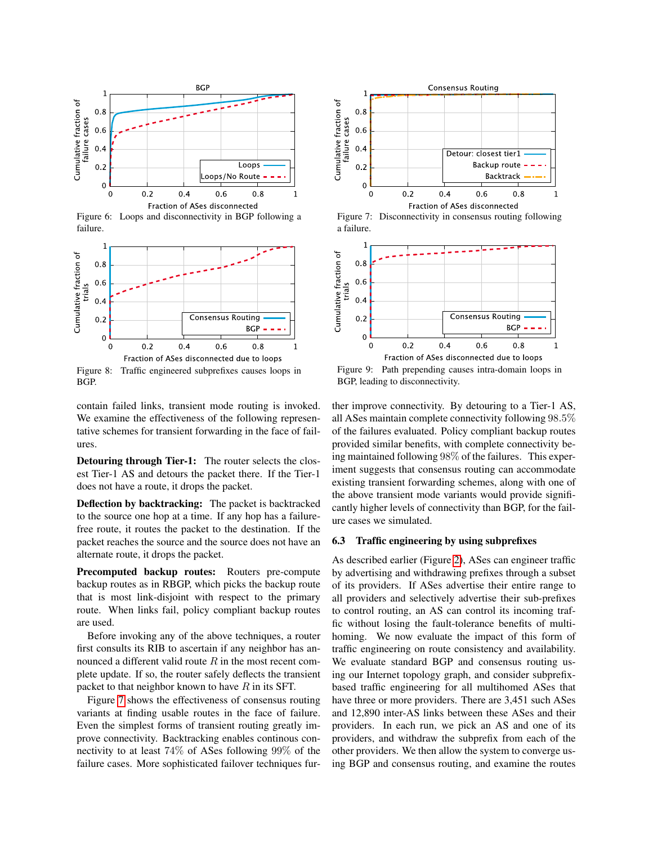

<span id="page-9-0"></span>Figure 6: Loops and disconnectivity in BGP following a failure.



<span id="page-9-2"></span>Figure 8: Traffic engineered subprefixes causes loops in BGP.

contain failed links, transient mode routing is invoked. We examine the effectiveness of the following representative schemes for transient forwarding in the face of failures.

Detouring through Tier-1: The router selects the closest Tier-1 AS and detours the packet there. If the Tier-1 does not have a route, it drops the packet.

Deflection by backtracking: The packet is backtracked to the source one hop at a time. If any hop has a failurefree route, it routes the packet to the destination. If the packet reaches the source and the source does not have an alternate route, it drops the packet.

Precomputed backup routes: Routers pre-compute backup routes as in RBGP, which picks the backup route that is most link-disjoint with respect to the primary route. When links fail, policy compliant backup routes are used.

Before invoking any of the above techniques, a router first consults its RIB to ascertain if any neighbor has announced a different valid route  $R$  in the most recent complete update. If so, the router safely deflects the transient packet to that neighbor known to have  $R$  in its SFT.

Figure [7](#page-9-1) shows the effectiveness of consensus routing variants at finding usable routes in the face of failure. Even the simplest forms of transient routing greatly improve connectivity. Backtracking enables continous connectivity to at least 74% of ASes following 99% of the failure cases. More sophisticated failover techniques fur-



<span id="page-9-1"></span>Figure 7: Disconnectivity in consensus routing following a failure.



<span id="page-9-3"></span>Figure 9: Path prepending causes intra-domain loops in BGP, leading to disconnectivity.

ther improve connectivity. By detouring to a Tier-1 AS, all ASes maintain complete connectivity following 98.5% of the failures evaluated. Policy compliant backup routes provided similar benefits, with complete connectivity being maintained following 98% of the failures. This experiment suggests that consensus routing can accommodate existing transient forwarding schemes, along with one of the above transient mode variants would provide significantly higher levels of connectivity than BGP, for the failure cases we simulated.

### 6.3 Traffic engineering by using subprefixes

As described earlier (Figure [2\)](#page-1-1), ASes can engineer traffic by advertising and withdrawing prefixes through a subset of its providers. If ASes advertise their entire range to all providers and selectively advertise their sub-prefixes to control routing, an AS can control its incoming traffic without losing the fault-tolerance benefits of multihoming. We now evaluate the impact of this form of traffic engineering on route consistency and availability. We evaluate standard BGP and consensus routing using our Internet topology graph, and consider subprefixbased traffic engineering for all multihomed ASes that have three or more providers. There are 3,451 such ASes and 12,890 inter-AS links between these ASes and their providers. In each run, we pick an AS and one of its providers, and withdraw the subprefix from each of the other providers. We then allow the system to converge using BGP and consensus routing, and examine the routes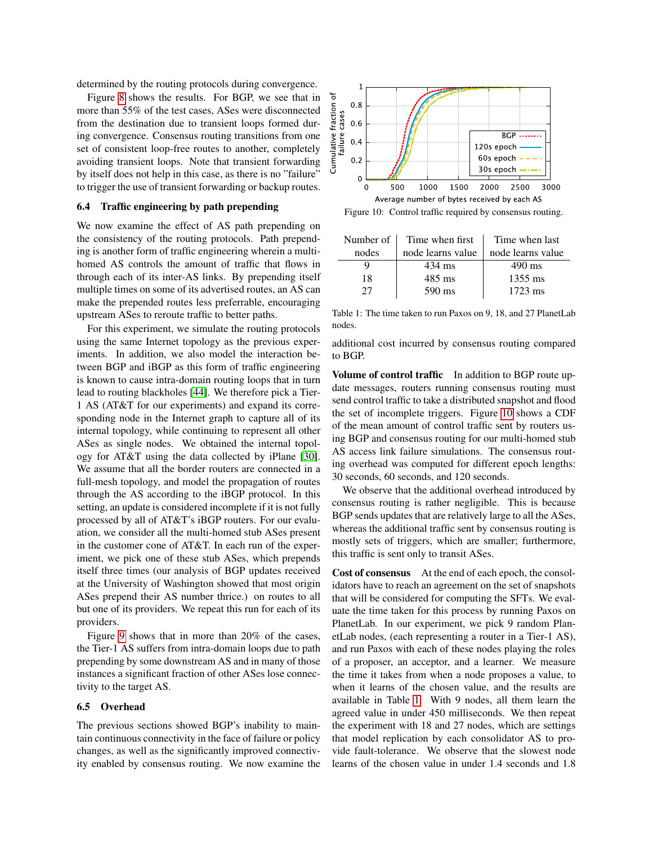determined by the routing protocols during convergence.

Figure [8](#page-9-2) shows the results. For BGP, we see that in more than 55% of the test cases, ASes were disconnected from the destination due to transient loops formed during convergence. Consensus routing transitions from one set of consistent loop-free routes to another, completely avoiding transient loops. Note that transient forwarding by itself does not help in this case, as there is no "failure" to trigger the use of transient forwarding or backup routes.

#### 6.4 Traffic engineering by path prepending

We now examine the effect of AS path prepending on the consistency of the routing protocols. Path prepending is another form of traffic engineering wherein a multihomed AS controls the amount of traffic that flows in through each of its inter-AS links. By prepending itself multiple times on some of its advertised routes, an AS can make the prepended routes less preferrable, encouraging upstream ASes to reroute traffic to better paths.

For this experiment, we simulate the routing protocols using the same Internet topology as the previous experiments. In addition, we also model the interaction between BGP and iBGP as this form of traffic engineering is known to cause intra-domain routing loops that in turn lead to routing blackholes [\[44\]](#page-13-2). We therefore pick a Tier-1 AS (AT&T for our experiments) and expand its corresponding node in the Internet graph to capture all of its internal topology, while continuing to represent all other ASes as single nodes. We obtained the internal topology for AT&T using the data collected by iPlane [\[30\]](#page-13-25). We assume that all the border routers are connected in a full-mesh topology, and model the propagation of routes through the AS according to the iBGP protocol. In this setting, an update is considered incomplete if it is not fully processed by all of AT&T's iBGP routers. For our evaluation, we consider all the multi-homed stub ASes present in the customer cone of AT&T. In each run of the experiment, we pick one of these stub ASes, which prepends itself three times (our analysis of BGP updates received at the University of Washington showed that most origin ASes prepend their AS number thrice.) on routes to all but one of its providers. We repeat this run for each of its providers.

Figure [9](#page-9-3) shows that in more than 20% of the cases, the Tier-1 AS suffers from intra-domain loops due to path prepending by some downstream AS and in many of those instances a significant fraction of other ASes lose connectivity to the target AS.

#### 6.5 Overhead

The previous sections showed BGP's inability to maintain continuous connectivity in the face of failure or policy changes, as well as the significantly improved connectivity enabled by consensus routing. We now examine the



<span id="page-10-0"></span>Figure 10: Control traffic required by consensus routing.

| Number of 1 | Time when first   | Time when last    |
|-------------|-------------------|-------------------|
| nodes       | node learns value | node learns value |
|             | 434 ms            | $490 \text{ ms}$  |
| 18          | $485$ ms          | 1355 ms           |
| 27          | 590 ms            | $1723$ ms         |

<span id="page-10-1"></span>Table 1: The time taken to run Paxos on 9, 18, and 27 PlanetLab nodes.

additional cost incurred by consensus routing compared to BGP.

Volume of control traffic In addition to BGP route update messages, routers running consensus routing must send control traffic to take a distributed snapshot and flood the set of incomplete triggers. Figure [10](#page-10-0) shows a CDF of the mean amount of control traffic sent by routers using BGP and consensus routing for our multi-homed stub AS access link failure simulations. The consensus routing overhead was computed for different epoch lengths: 30 seconds, 60 seconds, and 120 seconds.

We observe that the additional overhead introduced by consensus routing is rather negligible. This is because BGP sends updates that are relatively large to all the ASes, whereas the additional traffic sent by consensus routing is mostly sets of triggers, which are smaller; furthermore, this traffic is sent only to transit ASes.

Cost of consensus At the end of each epoch, the consolidators have to reach an agreement on the set of snapshots that will be considered for computing the SFTs. We evaluate the time taken for this process by running Paxos on PlanetLab. In our experiment, we pick 9 random PlanetLab nodes, (each representing a router in a Tier-1 AS), and run Paxos with each of these nodes playing the roles of a proposer, an acceptor, and a learner. We measure the time it takes from when a node proposes a value, to when it learns of the chosen value, and the results are available in Table [1.](#page-10-1) With 9 nodes, all them learn the agreed value in under 450 milliseconds. We then repeat the experiment with 18 and 27 nodes, which are settings that model replication by each consolidator AS to provide fault-tolerance. We observe that the slowest node learns of the chosen value in under 1.4 seconds and 1.8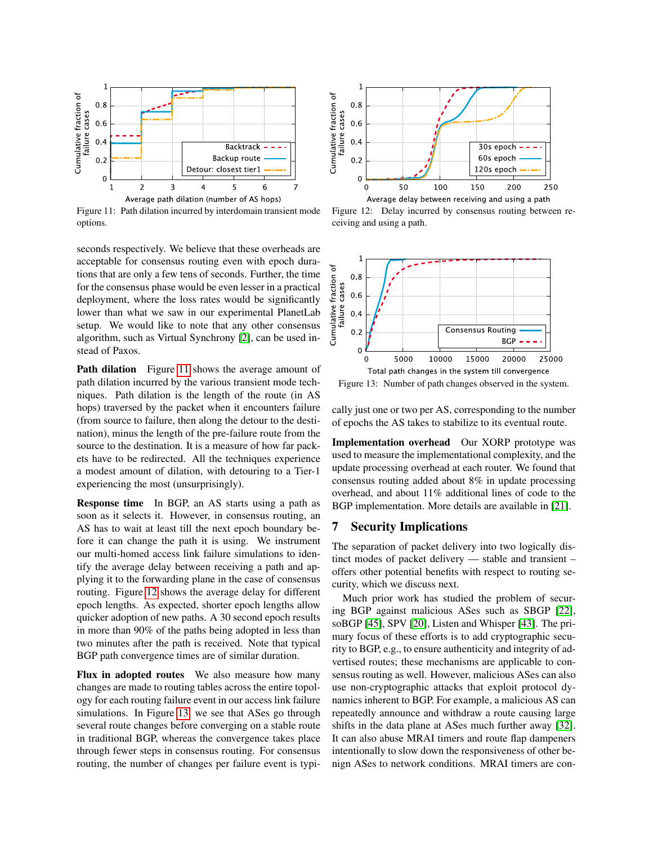

<span id="page-11-1"></span>Figure 11: Path dilation incurred by interdomain transient mode options.

seconds respectively. We believe that these overheads are acceptable for consensus routing even with epoch durations that are only a few tens of seconds. Further, the time for the consensus phase would be even lesser in a practical deployment, where the loss rates would be significantly lower than what we saw in our experimental PlanetLab setup. We would like to note that any other consensus algorithm, such as Virtual Synchrony [\[2\]](#page-13-26), can be used instead of Paxos.

Path dilation Figure [11](#page-11-1) shows the average amount of path dilation incurred by the various transient mode techniques. Path dilation is the length of the route (in AS hops) traversed by the packet when it encounters failure (from source to failure, then along the detour to the destination), minus the length of the pre-failure route from the source to the destination. It is a measure of how far packets have to be redirected. All the techniques experience a modest amount of dilation, with detouring to a Tier-1 experiencing the most (unsurprisingly).

Response time In BGP, an AS starts using a path as soon as it selects it. However, in consensus routing, an AS has to wait at least till the next epoch boundary before it can change the path it is using. We instrument our multi-homed access link failure simulations to identify the average delay between receiving a path and applying it to the forwarding plane in the case of consensus routing. Figure [12](#page-11-2) shows the average delay for different epoch lengths. As expected, shorter epoch lengths allow quicker adoption of new paths. A 30 second epoch results in more than 90% of the paths being adopted in less than two minutes after the path is received. Note that typical BGP path convergence times are of similar duration.

Flux in adopted routes We also measure how many changes are made to routing tables across the entire topology for each routing failure event in our access link failure simulations. In Figure [13,](#page-11-3) we see that ASes go through several route changes before converging on a stable route in traditional BGP, whereas the convergence takes place through fewer steps in consensus routing. For consensus routing, the number of changes per failure event is typi-



<span id="page-11-2"></span>Figure 12: Delay incurred by consensus routing between receiving and using a path.



<span id="page-11-3"></span>Figure 13: Number of path changes observed in the system.

cally just one or two per AS, corresponding to the number of epochs the AS takes to stabilize to its eventual route.

Implementation overhead Our XORP prototype was used to measure the implementational complexity, and the update processing overhead at each router. We found that consensus routing added about 8% in update processing overhead, and about 11% additional lines of code to the BGP implementation. More details are available in [\[21\]](#page-13-21).

# <span id="page-11-0"></span>7 Security Implications

The separation of packet delivery into two logically distinct modes of packet delivery — stable and transient – offers other potential benefits with respect to routing security, which we discuss next.

Much prior work has studied the problem of securing BGP against malicious ASes such as SBGP [\[22\]](#page-13-27), soBGP [\[45\]](#page-13-28), SPV [\[20\]](#page-13-29), Listen and Whisper [\[43\]](#page-13-30). The primary focus of these efforts is to add cryptographic security to BGP, e.g., to ensure authenticity and integrity of advertised routes; these mechanisms are applicable to consensus routing as well. However, malicious ASes can also use non-cryptographic attacks that exploit protocol dynamics inherent to BGP. For example, a malicious AS can repeatedly announce and withdraw a route causing large shifts in the data plane at ASes much further away [\[32\]](#page-13-31). It can also abuse MRAI timers and route flap dampeners intentionally to slow down the responsiveness of other benign ASes to network conditions. MRAI timers are con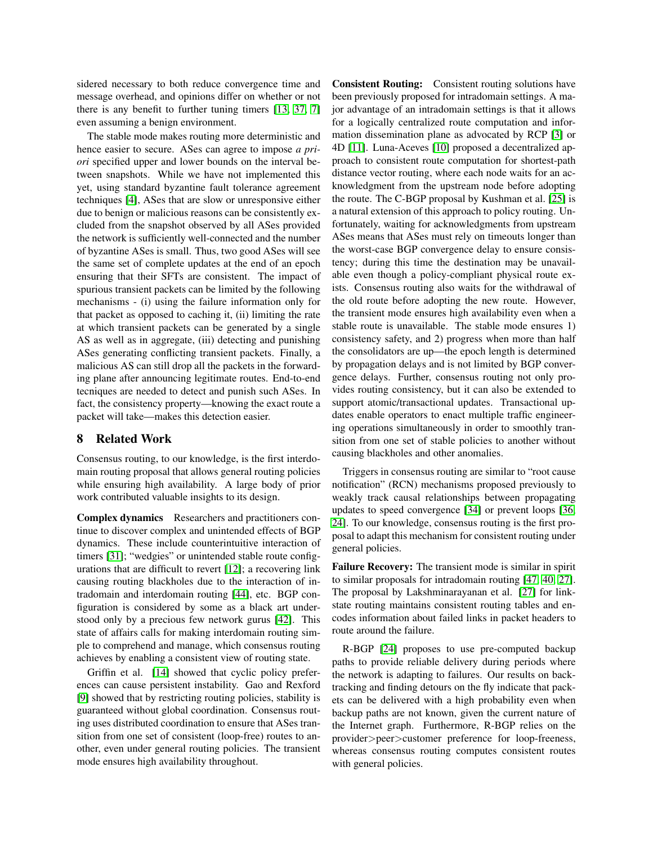sidered necessary to both reduce convergence time and message overhead, and opinions differ on whether or not there is any benefit to further tuning timers [\[13,](#page-13-32) [37,](#page-13-33) [7\]](#page-13-34) even assuming a benign environment.

The stable mode makes routing more deterministic and hence easier to secure. ASes can agree to impose *a priori* specified upper and lower bounds on the interval between snapshots. While we have not implemented this yet, using standard byzantine fault tolerance agreement techniques [\[4\]](#page-13-35), ASes that are slow or unresponsive either due to benign or malicious reasons can be consistently excluded from the snapshot observed by all ASes provided the network is sufficiently well-connected and the number of byzantine ASes is small. Thus, two good ASes will see the same set of complete updates at the end of an epoch ensuring that their SFTs are consistent. The impact of spurious transient packets can be limited by the following mechanisms - (i) using the failure information only for that packet as opposed to caching it, (ii) limiting the rate at which transient packets can be generated by a single AS as well as in aggregate, (iii) detecting and punishing ASes generating conflicting transient packets. Finally, a malicious AS can still drop all the packets in the forwarding plane after announcing legitimate routes. End-to-end tecniques are needed to detect and punish such ASes. In fact, the consistency property—knowing the exact route a packet will take—makes this detection easier.

# 8 Related Work

Consensus routing, to our knowledge, is the first interdomain routing proposal that allows general routing policies while ensuring high availability. A large body of prior work contributed valuable insights to its design.

Complex dynamics Researchers and practitioners continue to discover complex and unintended effects of BGP dynamics. These include counterintuitive interaction of timers [\[31\]](#page-13-11); "wedgies" or unintended stable route configurations that are difficult to revert [\[12\]](#page-13-36); a recovering link causing routing blackholes due to the interaction of intradomain and interdomain routing [\[44\]](#page-13-2), etc. BGP configuration is considered by some as a black art understood only by a precious few network gurus [\[42\]](#page-13-9). This state of affairs calls for making interdomain routing simple to comprehend and manage, which consensus routing achieves by enabling a consistent view of routing state.

Griffin et al. [\[14\]](#page-13-15) showed that cyclic policy preferences can cause persistent instability. Gao and Rexford [\[9\]](#page-13-17) showed that by restricting routing policies, stability is guaranteed without global coordination. Consensus routing uses distributed coordination to ensure that ASes transition from one set of consistent (loop-free) routes to another, even under general routing policies. The transient mode ensures high availability throughout.

Consistent Routing: Consistent routing solutions have been previously proposed for intradomain settings. A major advantage of an intradomain settings is that it allows for a logically centralized route computation and information dissemination plane as advocated by RCP [\[3\]](#page-13-14) or 4D [\[11\]](#page-13-37). Luna-Aceves [\[10\]](#page-13-38) proposed a decentralized approach to consistent route computation for shortest-path distance vector routing, where each node waits for an acknowledgment from the upstream node before adopting the route. The C-BGP proposal by Kushman et al. [\[25\]](#page-13-39) is a natural extension of this approach to policy routing. Unfortunately, waiting for acknowledgments from upstream ASes means that ASes must rely on timeouts longer than the worst-case BGP convergence delay to ensure consistency; during this time the destination may be unavailable even though a policy-compliant physical route exists. Consensus routing also waits for the withdrawal of the old route before adopting the new route. However, the transient mode ensures high availability even when a stable route is unavailable. The stable mode ensures 1) consistency safety, and 2) progress when more than half the consolidators are up—the epoch length is determined by propagation delays and is not limited by BGP convergence delays. Further, consensus routing not only provides routing consistency, but it can also be extended to support atomic/transactional updates. Transactional updates enable operators to enact multiple traffic engineering operations simultaneously in order to smoothly transition from one set of stable policies to another without causing blackholes and other anomalies.

Triggers in consensus routing are similar to "root cause notification" (RCN) mechanisms proposed previously to weakly track causal relationships between propagating updates to speed convergence [\[34\]](#page-13-16) or prevent loops [\[36,](#page-13-40) [24\]](#page-13-4). To our knowledge, consensus routing is the first proposal to adapt this mechanism for consistent routing under general policies.

Failure Recovery: The transient mode is similar in spirit to similar proposals for intradomain routing [\[47,](#page-13-5) [40,](#page-13-22) [27\]](#page-13-7). The proposal by Lakshminarayanan et al. [\[27\]](#page-13-7) for linkstate routing maintains consistent routing tables and encodes information about failed links in packet headers to route around the failure.

R-BGP [\[24\]](#page-13-4) proposes to use pre-computed backup paths to provide reliable delivery during periods where the network is adapting to failures. Our results on backtracking and finding detours on the fly indicate that packets can be delivered with a high probability even when backup paths are not known, given the current nature of the Internet graph. Furthermore, R-BGP relies on the provider>peer>customer preference for loop-freeness, whereas consensus routing computes consistent routes with general policies.